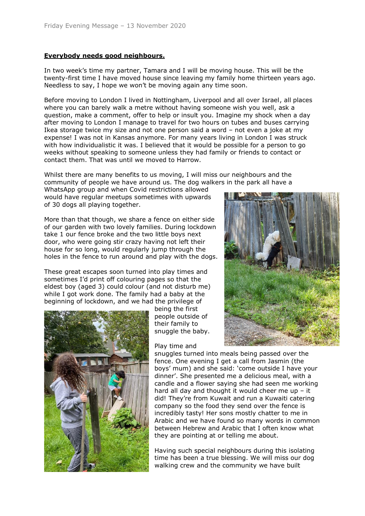## **Everybody needs good neighbours.**

In two week's time my partner, Tamara and I will be moving house. This will be the twenty-first time I have moved house since leaving my family home thirteen years ago. Needless to say, I hope we won't be moving again any time soon.

Before moving to London I lived in Nottingham, Liverpool and all over Israel, all places where you can barely walk a metre without having someone wish you well, ask a question, make a comment, offer to help or insult you. Imagine my shock when a day after moving to London I manage to travel for two hours on tubes and buses carrying Ikea storage twice my size and not one person said a word – not even a joke at my expense! I was not in Kansas anymore. For many years living in London I was struck with how individualistic it was. I believed that it would be possible for a person to go weeks without speaking to someone unless they had family or friends to contact or contact them. That was until we moved to Harrow.

Whilst there are many benefits to us moving, I will miss our neighbours and the community of people we have around us. The dog walkers in the park all have a

WhatsApp group and when Covid restrictions allowed would have regular meetups sometimes with upwards of 30 dogs all playing together.

More than that though, we share a fence on either side of our garden with two lovely families. During lockdown take 1 our fence broke and the two little boys next door, who were going stir crazy having not left their house for so long, would regularly jump through the holes in the fence to run around and play with the dogs.

These great escapes soon turned into play times and sometimes I'd print off colouring pages so that the eldest boy (aged 3) could colour (and not disturb me) while I got work done. The family had a baby at the beginning of lockdown, and we had the privilege of



being the first people outside of their family to snuggle the baby.

Play time and



snuggles turned into meals being passed over the fence. One evening I get a call from Jasmin (the boys' mum) and she said: 'come outside I have your dinner'. She presented me a delicious meal, with a candle and a flower saying she had seen me working hard all day and thought it would cheer me up  $-$  it did! They're from Kuwait and run a Kuwaiti catering company so the food they send over the fence is incredibly tasty! Her sons mostly chatter to me in Arabic and we have found so many words in common between Hebrew and Arabic that I often know what they are pointing at or telling me about.

Having such special neighbours during this isolating time has been a true blessing. We will miss our dog walking crew and the community we have built